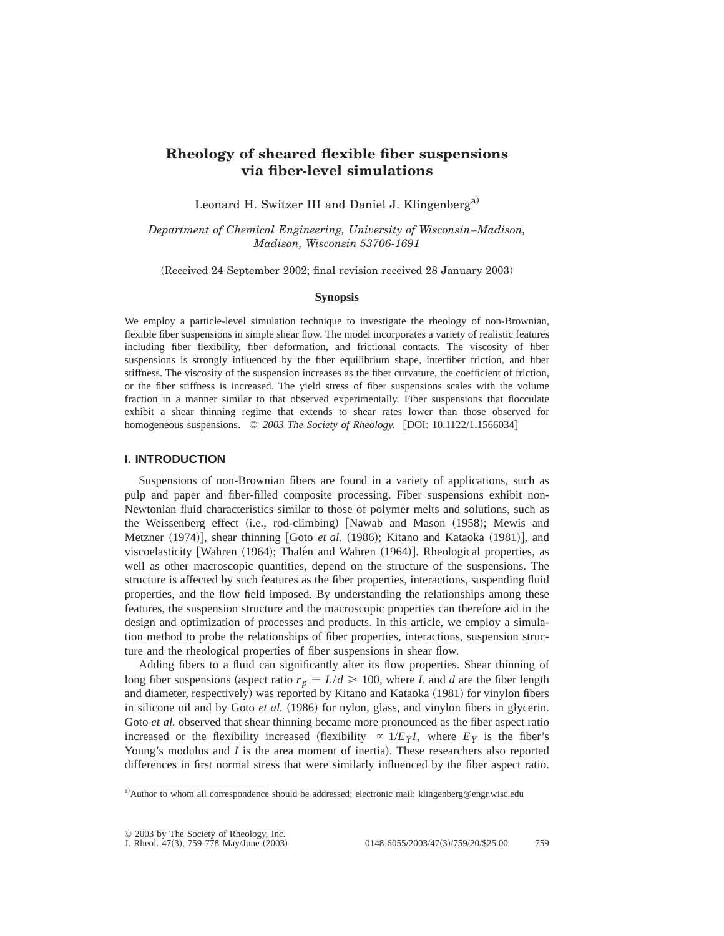# **Rheology of sheared flexible fiber suspensions via fiber-level simulations**

Leonard H. Switzer III and Daniel J. Klingenberg<sup>a)</sup>

*Department of Chemical Engineering, University of Wisconsin*–*Madison, Madison, Wisconsin 53706-1691*

(Received 24 September 2002; final revision received 28 January 2003)

## **Synopsis**

We employ a particle-level simulation technique to investigate the rheology of non-Brownian, flexible fiber suspensions in simple shear flow. The model incorporates a variety of realistic features including fiber flexibility, fiber deformation, and frictional contacts. The viscosity of fiber suspensions is strongly influenced by the fiber equilibrium shape, interfiber friction, and fiber stiffness. The viscosity of the suspension increases as the fiber curvature, the coefficient of friction, or the fiber stiffness is increased. The yield stress of fiber suspensions scales with the volume fraction in a manner similar to that observed experimentally. Fiber suspensions that flocculate exhibit a shear thinning regime that extends to shear rates lower than those observed for homogeneous suspensions. © 2003 The Society of Rheology. [DOI: 10.1122/1.1566034]

## **I. INTRODUCTION**

Suspensions of non-Brownian fibers are found in a variety of applications, such as pulp and paper and fiber-filled composite processing. Fiber suspensions exhibit non-Newtonian fluid characteristics similar to those of polymer melts and solutions, such as the Weissenberg effect (i.e., rod-climbing)  $\lceil$ Nawab and Mason (1958); Mewis and Metzner (1974)], shear thinning [Goto *et al.* (1986); Kitano and Kataoka (1981)], and viscoelasticity [Wahren  $(1964)$ ; Thale $\overline{n}$  and Wahren  $(1964)$ ]. Rheological properties, as well as other macroscopic quantities, depend on the structure of the suspensions. The structure is affected by such features as the fiber properties, interactions, suspending fluid properties, and the flow field imposed. By understanding the relationships among these features, the suspension structure and the macroscopic properties can therefore aid in the design and optimization of processes and products. In this article, we employ a simulation method to probe the relationships of fiber properties, interactions, suspension structure and the rheological properties of fiber suspensions in shear flow.

Adding fibers to a fluid can significantly alter its flow properties. Shear thinning of long fiber suspensions (aspect ratio  $r_p \equiv L/d \ge 100$ , where *L* and *d* are the fiber length and diameter, respectively) was reported by Kitano and Kataoka (1981) for vinylon fibers in silicone oil and by Goto *et al.* (1986) for nylon, glass, and vinylon fibers in glycerin. Goto *et al.* observed that shear thinning became more pronounced as the fiber aspect ratio increased or the flexibility increased (flexibility  $\propto 1/E_Y I$ , where  $E_Y$  is the fiber's Young's modulus and *I* is the area moment of inertia). These researchers also reported differences in first normal stress that were similarly influenced by the fiber aspect ratio.

a)Author to whom all correspondence should be addressed; electronic mail: klingenberg@engr.wisc.edu

<sup>© 2003</sup> by The Society of Rheology, Inc.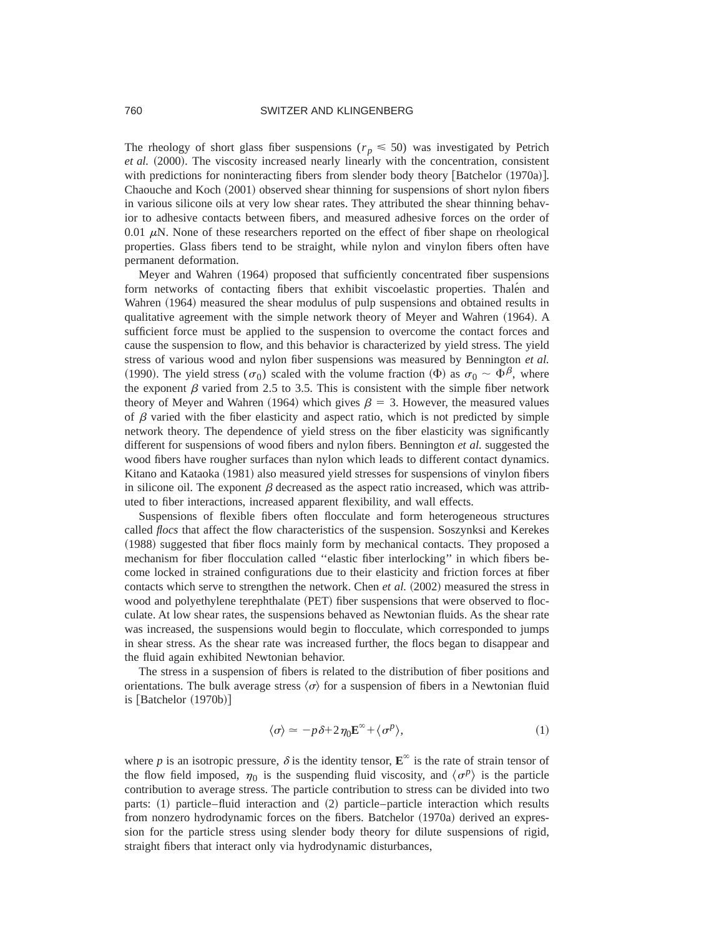The rheology of short glass fiber suspensions ( $r_p \leq 50$ ) was investigated by Petrich *et al.* (2000). The viscosity increased nearly linearly with the concentration, consistent with predictions for noninteracting fibers from slender body theory [Batchelor  $(1970a)$ ]. Chaouche and Koch  $(2001)$  observed shear thinning for suspensions of short nylon fibers in various silicone oils at very low shear rates. They attributed the shear thinning behavior to adhesive contacts between fibers, and measured adhesive forces on the order of 0.01  $\mu$ N. None of these researchers reported on the effect of fiber shape on rheological properties. Glass fibers tend to be straight, while nylon and vinylon fibers often have permanent deformation.

Meyer and Wahren (1964) proposed that sufficiently concentrated fiber suspensions form networks of contacting fibers that exhibit viscoelastic properties. Thalen and Wahren (1964) measured the shear modulus of pulp suspensions and obtained results in qualitative agreement with the simple network theory of Meyer and Wahren (1964). A sufficient force must be applied to the suspension to overcome the contact forces and cause the suspension to flow, and this behavior is characterized by yield stress. The yield stress of various wood and nylon fiber suspensions was measured by Bennington *et al.* (1990). The yield stress ( $\sigma_0$ ) scaled with the volume fraction ( $\Phi$ ) as  $\sigma_0 \sim \Phi^{\beta}$ , where the exponent  $\beta$  varied from 2.5 to 3.5. This is consistent with the simple fiber network theory of Meyer and Wahren (1964) which gives  $\beta = 3$ . However, the measured values of  $\beta$  varied with the fiber elasticity and aspect ratio, which is not predicted by simple network theory. The dependence of yield stress on the fiber elasticity was significantly different for suspensions of wood fibers and nylon fibers. Bennington *et al.* suggested the wood fibers have rougher surfaces than nylon which leads to different contact dynamics. Kitano and Kataoka (1981) also measured yield stresses for suspensions of vinylon fibers in silicone oil. The exponent  $\beta$  decreased as the aspect ratio increased, which was attributed to fiber interactions, increased apparent flexibility, and wall effects.

Suspensions of flexible fibers often flocculate and form heterogeneous structures called *flocs* that affect the flow characteristics of the suspension. Soszynksi and Kerekes ~1988! suggested that fiber flocs mainly form by mechanical contacts. They proposed a mechanism for fiber flocculation called ''elastic fiber interlocking'' in which fibers become locked in strained configurations due to their elasticity and friction forces at fiber contacts which serve to strengthen the network. Chen *et al.* (2002) measured the stress in wood and polyethylene terephthalate (PET) fiber suspensions that were observed to flocculate. At low shear rates, the suspensions behaved as Newtonian fluids. As the shear rate was increased, the suspensions would begin to flocculate, which corresponded to jumps in shear stress. As the shear rate was increased further, the flocs began to disappear and the fluid again exhibited Newtonian behavior.

The stress in a suspension of fibers is related to the distribution of fiber positions and orientations. The bulk average stress  $\langle \sigma \rangle$  for a suspension of fibers in a Newtonian fluid is  $[Batchelor (1970b)]$ 

$$
\langle \sigma \rangle \simeq -p \,\delta + 2 \,\eta_0 \mathbf{E}^\infty + \langle \sigma^p \rangle,\tag{1}
$$

where *p* is an isotropic pressure,  $\delta$  is the identity tensor,  $\mathbf{E}^{\infty}$  is the rate of strain tensor of the flow field imposed,  $\eta_0$  is the suspending fluid viscosity, and  $\langle \sigma^p \rangle$  is the particle contribution to average stress. The particle contribution to stress can be divided into two parts:  $(1)$  particle–fluid interaction and  $(2)$  particle–particle interaction which results from nonzero hydrodynamic forces on the fibers. Batchelor (1970a) derived an expression for the particle stress using slender body theory for dilute suspensions of rigid, straight fibers that interact only via hydrodynamic disturbances,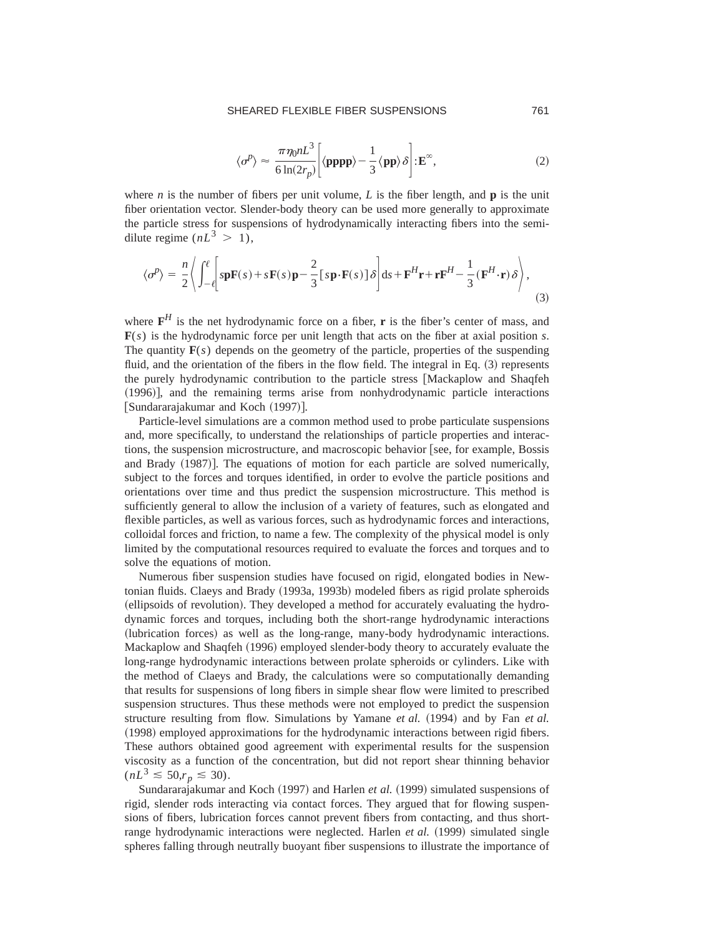## SHEARED FLEXIBLE FIBER SUSPENSIONS 761

$$
\langle \sigma^p \rangle \approx \frac{\pi \eta_0 n L^3}{6 \ln(2r_p)} \bigg[ \langle \mathbf{pppp} \rangle - \frac{1}{3} \langle \mathbf{pp} \rangle \delta \bigg] : \mathbf{E}^{\infty}, \tag{2}
$$

where *n* is the number of fibers per unit volume, *L* is the fiber length, and **p** is the unit fiber orientation vector. Slender-body theory can be used more generally to approximate the particle stress for suspensions of hydrodynamically interacting fibers into the semidilute regime  $(nL^3 > 1)$ ,

$$
\langle \sigma^p \rangle = \frac{n}{2} \left\langle \int_{-\ell}^{\ell} \left[ s \mathbf{p} \mathbf{F}(s) + s \mathbf{F}(s) \mathbf{p} - \frac{2}{3} \left[ s \mathbf{p} \cdot \mathbf{F}(s) \right] \delta \right] ds + \mathbf{F}^H \mathbf{r} + \mathbf{r} \mathbf{F}^H - \frac{1}{3} \left( \mathbf{F}^H \cdot \mathbf{r} \right) \delta \right\rangle, \tag{3}
$$

where  $F^H$  is the net hydrodynamic force on a fiber, **r** is the fiber's center of mass, and **F**(*s*) is the hydrodynamic force per unit length that acts on the fiber at axial position *s*. The quantity  $F(s)$  depends on the geometry of the particle, properties of the suspending fluid, and the orientation of the fibers in the flow field. The integral in Eq.  $(3)$  represents the purely hydrodynamic contribution to the particle stress [Mackaplow and Shaqfeh  $(1996)$ , and the remaining terms arise from nonhydrodynamic particle interactions [Sundararajakumar and Koch (1997)].

Particle-level simulations are a common method used to probe particulate suspensions and, more specifically, to understand the relationships of particle properties and interactions, the suspension microstructure, and macroscopic behavior [see, for example, Bossis and Brady (1987). The equations of motion for each particle are solved numerically, subject to the forces and torques identified, in order to evolve the particle positions and orientations over time and thus predict the suspension microstructure. This method is sufficiently general to allow the inclusion of a variety of features, such as elongated and flexible particles, as well as various forces, such as hydrodynamic forces and interactions, colloidal forces and friction, to name a few. The complexity of the physical model is only limited by the computational resources required to evaluate the forces and torques and to solve the equations of motion.

Numerous fiber suspension studies have focused on rigid, elongated bodies in Newtonian fluids. Claeys and Brady (1993a, 1993b) modeled fibers as rigid prolate spheroids (ellipsoids of revolution). They developed a method for accurately evaluating the hydrodynamic forces and torques, including both the short-range hydrodynamic interactions (lubrication forces) as well as the long-range, many-body hydrodynamic interactions. Mackaplow and Shaqfeh (1996) employed slender-body theory to accurately evaluate the long-range hydrodynamic interactions between prolate spheroids or cylinders. Like with the method of Claeys and Brady, the calculations were so computationally demanding that results for suspensions of long fibers in simple shear flow were limited to prescribed suspension structures. Thus these methods were not employed to predict the suspension structure resulting from flow. Simulations by Yamane *et al.* (1994) and by Fan *et al.* ~1998! employed approximations for the hydrodynamic interactions between rigid fibers. These authors obtained good agreement with experimental results for the suspension viscosity as a function of the concentration, but did not report shear thinning behavior  $(nL^3 \le 50, r_p \le 30).$ 

Sundararajakumar and Koch (1997) and Harlen *et al.* (1999) simulated suspensions of rigid, slender rods interacting via contact forces. They argued that for flowing suspensions of fibers, lubrication forces cannot prevent fibers from contacting, and thus shortrange hydrodynamic interactions were neglected. Harlen *et al.* (1999) simulated single spheres falling through neutrally buoyant fiber suspensions to illustrate the importance of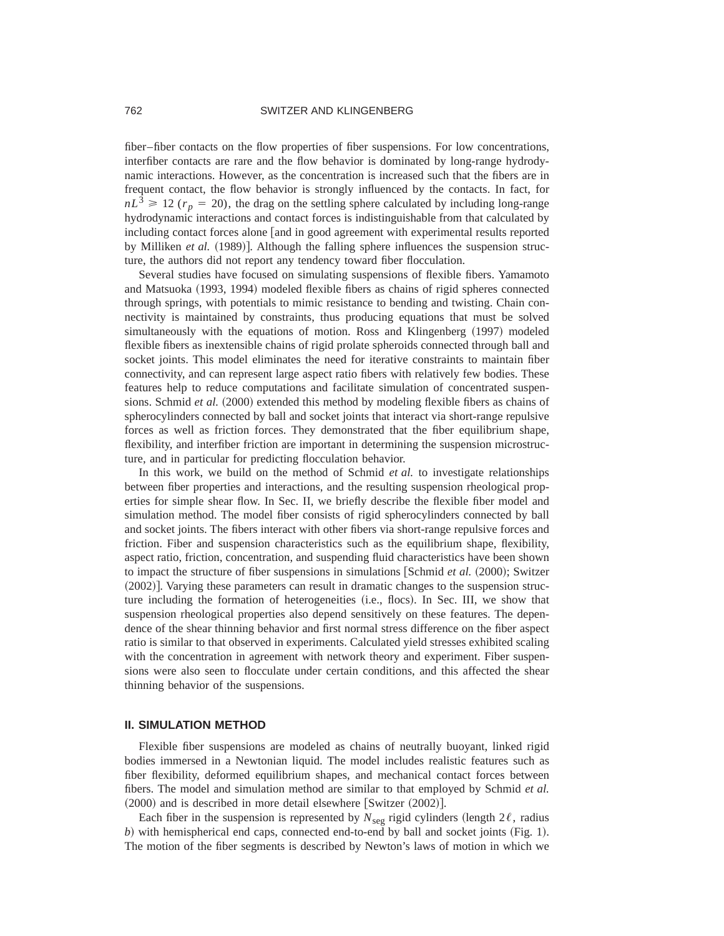fiber–fiber contacts on the flow properties of fiber suspensions. For low concentrations, interfiber contacts are rare and the flow behavior is dominated by long-range hydrodynamic interactions. However, as the concentration is increased such that the fibers are in frequent contact, the flow behavior is strongly influenced by the contacts. In fact, for  $nL<sup>3</sup> \ge 12$  ( $r_p = 20$ ), the drag on the settling sphere calculated by including long-range hydrodynamic interactions and contact forces is indistinguishable from that calculated by including contact forces alone [and in good agreement with experimental results reported by Milliken *et al.* (1989)]. Although the falling sphere influences the suspension structure, the authors did not report any tendency toward fiber flocculation.

Several studies have focused on simulating suspensions of flexible fibers. Yamamoto and Matsuoka (1993, 1994) modeled flexible fibers as chains of rigid spheres connected through springs, with potentials to mimic resistance to bending and twisting. Chain connectivity is maintained by constraints, thus producing equations that must be solved simultaneously with the equations of motion. Ross and Klingenberg (1997) modeled flexible fibers as inextensible chains of rigid prolate spheroids connected through ball and socket joints. This model eliminates the need for iterative constraints to maintain fiber connectivity, and can represent large aspect ratio fibers with relatively few bodies. These features help to reduce computations and facilitate simulation of concentrated suspensions. Schmid *et al.* (2000) extended this method by modeling flexible fibers as chains of spherocylinders connected by ball and socket joints that interact via short-range repulsive forces as well as friction forces. They demonstrated that the fiber equilibrium shape, flexibility, and interfiber friction are important in determining the suspension microstructure, and in particular for predicting flocculation behavior.

In this work, we build on the method of Schmid *et al.* to investigate relationships between fiber properties and interactions, and the resulting suspension rheological properties for simple shear flow. In Sec. II, we briefly describe the flexible fiber model and simulation method. The model fiber consists of rigid spherocylinders connected by ball and socket joints. The fibers interact with other fibers via short-range repulsive forces and friction. Fiber and suspension characteristics such as the equilibrium shape, flexibility, aspect ratio, friction, concentration, and suspending fluid characteristics have been shown to impact the structure of fiber suspensions in simulations  $[Schmid et al. (2000);$  Switzer  $(2002)$ . Varying these parameters can result in dramatic changes to the suspension structure including the formation of heterogeneities (i.e., flocs). In Sec. III, we show that suspension rheological properties also depend sensitively on these features. The dependence of the shear thinning behavior and first normal stress difference on the fiber aspect ratio is similar to that observed in experiments. Calculated yield stresses exhibited scaling with the concentration in agreement with network theory and experiment. Fiber suspensions were also seen to flocculate under certain conditions, and this affected the shear thinning behavior of the suspensions.

#### **II. SIMULATION METHOD**

Flexible fiber suspensions are modeled as chains of neutrally buoyant, linked rigid bodies immersed in a Newtonian liquid. The model includes realistic features such as fiber flexibility, deformed equilibrium shapes, and mechanical contact forces between fibers. The model and simulation method are similar to that employed by Schmid *et al.*  $(2000)$  and is described in more detail elsewhere [Switzer  $(2002)$ ].

Each fiber in the suspension is represented by  $N_{\text{seg}}$  rigid cylinders (length 2 $\ell$ , radius *) with hemispherical end caps, connected end-to-end by ball and socket joints (Fig. 1).* The motion of the fiber segments is described by Newton's laws of motion in which we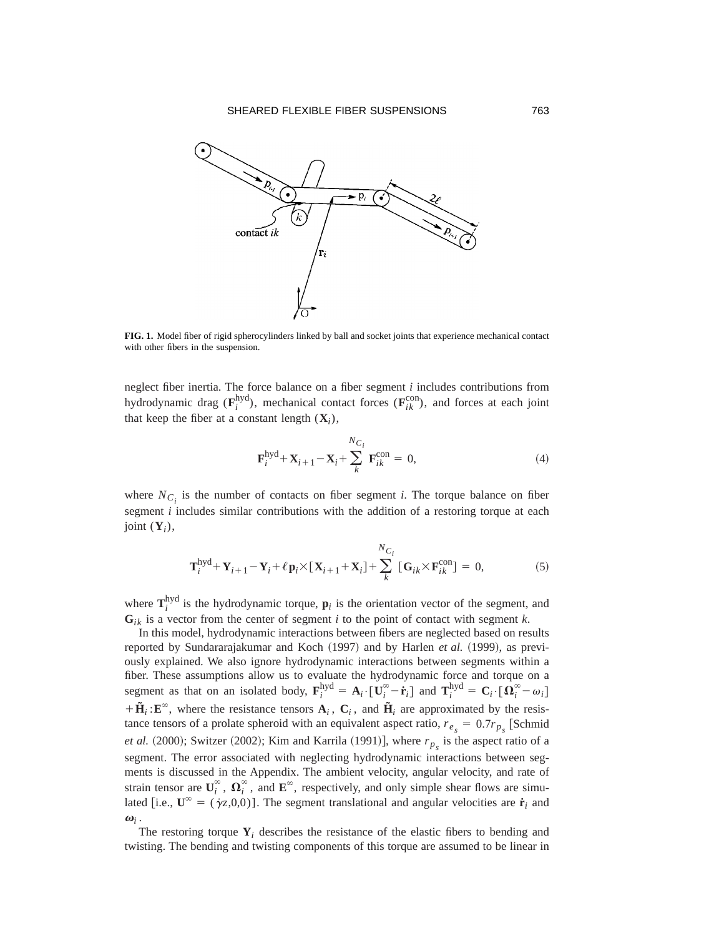

**FIG. 1.** Model fiber of rigid spherocylinders linked by ball and socket joints that experience mechanical contact with other fibers in the suspension.

neglect fiber inertia. The force balance on a fiber segment *i* includes contributions from hydrodynamic drag ( $\mathbf{F}_i^{\text{hyd}}$ ), mechanical contact forces ( $\mathbf{F}_{ik}^{\text{con}}$ ), and forces at each joint that keep the fiber at a constant length  $(X_i)$ ,

$$
\mathbf{F}_{i}^{\text{hyd}} + \mathbf{X}_{i+1} - \mathbf{X}_{i} + \sum_{k}^{N_{C_{i}}} \mathbf{F}_{ik}^{\text{con}} = 0,
$$
\n(4)

where  $N_{C_i}$  is the number of contacts on fiber segment *i*. The torque balance on fiber segment *i* includes similar contributions with the addition of a restoring torque at each joint  $(Y_i)$ ,

$$
\mathbf{T}_{i}^{\text{hyd}} + \mathbf{Y}_{i+1} - \mathbf{Y}_{i} + \ell \mathbf{p}_{i} \times [\mathbf{X}_{i+1} + \mathbf{X}_{i}] + \sum_{k}^{N_{C_{i}}} [\mathbf{G}_{ik} \times \mathbf{F}_{ik}^{\text{con}}] = 0,
$$
 (5)

where  $\mathbf{T}_i^{\text{hyd}}$  is the hydrodynamic torque,  $\mathbf{p}_i$  is the orientation vector of the segment, and  $G_{ik}$  is a vector from the center of segment *i* to the point of contact with segment *k*.

In this model, hydrodynamic interactions between fibers are neglected based on results reported by Sundararajakumar and Koch (1997) and by Harlen *et al.* (1999), as previously explained. We also ignore hydrodynamic interactions between segments within a fiber. These assumptions allow us to evaluate the hydrodynamic force and torque on a segment as that on an isolated body,  $\mathbf{F}_i^{\text{hyd}} = \mathbf{A}_i \cdot [\mathbf{U}_i^{\infty} - \dot{\mathbf{r}}_i]$  and  $\mathbf{T}_i^{\text{hyd}} = \mathbf{C}_i \cdot [\mathbf{\Omega}_i^{\infty} - \omega_i]$  $+\tilde{H}_i : E^{\infty}$ , where the resistance tensors  $A_i$ ,  $C_i$ , and  $\tilde{H}_i$  are approximated by the resistance tensors of a prolate spheroid with an equivalent aspect ratio,  $r_{e_s} = 0.7r_{p_s}$  [Schmid *et al.* (2000); Switzer (2002); Kim and Karrila (1991)], where  $r_{p_s}$  is the aspect ratio of a segment. The error associated with neglecting hydrodynamic interactions between segments is discussed in the Appendix. The ambient velocity, angular velocity, and rate of strain tensor are  $\mathbf{U}_i^{\infty}$ ,  $\mathbf{\Omega}_i^{\infty}$ , and  $\mathbf{E}^{\infty}$ , respectively, and only simple shear flows are simulated [i.e.,  $\mathbf{U}^{\infty} = (\gamma z, 0, 0)$ ]. The segment translational and angular velocities are  $\dot{\mathbf{r}}_i$  and  $\boldsymbol{\omega}_i$ .

The restoring torque  $Y_i$  describes the resistance of the elastic fibers to bending and twisting. The bending and twisting components of this torque are assumed to be linear in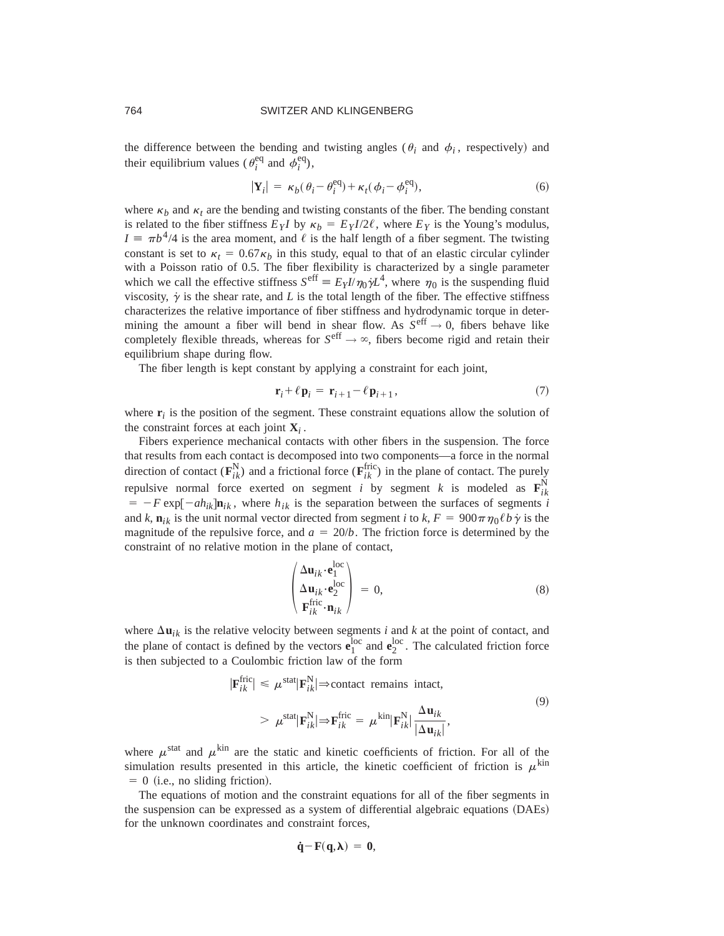the difference between the bending and twisting angles ( $\theta_i$  and  $\phi_i$ , respectively) and their equilibrium values ( $\theta_i^{\text{eq}}$  and  $\phi_i^{\text{eq}}$ ),

$$
|\mathbf{Y}_i| = \kappa_b(\theta_i - \theta_i^{\text{eq}}) + \kappa_t(\phi_i - \phi_i^{\text{eq}}),
$$
\n(6)

where  $\kappa_b$  and  $\kappa_t$  are the bending and twisting constants of the fiber. The bending constant is related to the fiber stiffness  $E_Y I$  by  $\kappa_b = E_Y I/2\ell$ , where  $E_Y$  is the Young's modulus,  $I \equiv \pi b^4/4$  is the area moment, and  $\ell$  is the half length of a fiber segment. The twisting constant is set to  $\kappa_t = 0.67 \kappa_b$  in this study, equal to that of an elastic circular cylinder with a Poisson ratio of 0.5. The fiber flexibility is characterized by a single parameter which we call the effective stiffness  $S^{\text{eff}} \equiv E_Y I/\eta_0 \dot{\gamma} L^4$ , where  $\eta_0$  is the suspending fluid viscosity,  $\dot{\gamma}$  is the shear rate, and *L* is the total length of the fiber. The effective stiffness characterizes the relative importance of fiber stiffness and hydrodynamic torque in determining the amount a fiber will bend in shear flow. As  $S^{\text{eff}} \rightarrow 0$ , fibers behave like completely flexible threads, whereas for  $S^{\text{eff}} \rightarrow \infty$ , fibers become rigid and retain their equilibrium shape during flow.

The fiber length is kept constant by applying a constraint for each joint,

$$
\mathbf{r}_i + \ell \, \mathbf{p}_i = \mathbf{r}_{i+1} - \ell \, \mathbf{p}_{i+1} \,, \tag{7}
$$

where  $\mathbf{r}_i$  is the position of the segment. These constraint equations allow the solution of the constraint forces at each joint  $X_i$ .

Fibers experience mechanical contacts with other fibers in the suspension. The force that results from each contact is decomposed into two components—a force in the normal direction of contact  $(\mathbf{F}_{ik}^{N})$  and a frictional force  $(\mathbf{F}_{ik}^{fric})$  in the plane of contact. The purely repulsive normal force exerted on segment *i* by segment *k* is modeled as  $\mathbf{F}_{ik}^{N}$  $= -F \exp[-ah_{ik}]$ **n**<sub>*ik*</sub>, where  $h_{ik}$  is the separation between the surfaces of segments *i* and *k*,  $\mathbf{n}_{ik}$  is the unit normal vector directed from segment *i* to *k*,  $F = 900\pi \eta_0 \ell b \dot{\gamma}$  is the magnitude of the repulsive force, and  $a = 20/b$ . The friction force is determined by the constraint of no relative motion in the plane of contact,

$$
\begin{pmatrix}\n\Delta \mathbf{u}_{ik} \cdot \mathbf{e}_1^{\text{loc}} \\
\Delta \mathbf{u}_{ik} \cdot \mathbf{e}_2^{\text{loc}} \\
\mathbf{F}_{ik}^{\text{fric}} \cdot \mathbf{n}_{ik}\n\end{pmatrix} = 0,
$$
\n(8)

where  $\Delta$ **u**<sub>*ik*</sub> is the relative velocity between segments *i* and *k* at the point of contact, and the plane of contact is defined by the vectors  $\mathbf{e}_1^{\text{loc}}$  and  $\mathbf{e}_2^{\text{loc}}$ . The calculated friction force is then subjected to a Coulombic friction law of the form

$$
|\mathbf{F}_{ik}^{\text{fric}}| \leq \mu^{\text{stat}} |\mathbf{F}_{ik}^{\text{N}}| \Rightarrow \text{contact remains intact,}
$$
  
> 
$$
\mu^{\text{stat}} |\mathbf{F}_{ik}^{\text{N}}| \Rightarrow \mathbf{F}_{ik}^{\text{fric}} = \mu^{\text{kin}} |\mathbf{F}_{ik}^{\text{N}}| \frac{\Delta \mathbf{u}_{ik}}{|\Delta \mathbf{u}_{ik}|},
$$
 (9)

where  $\mu^{\text{stat}}$  and  $\mu^{\text{kin}}$  are the static and kinetic coefficients of friction. For all of the simulation results presented in this article, the kinetic coefficient of friction is  $\mu^{\text{kin}}$  $= 0$  (i.e., no sliding friction).

The equations of motion and the constraint equations for all of the fiber segments in the suspension can be expressed as a system of differential algebraic equations (DAEs) for the unknown coordinates and constraint forces,

$$
\dot{q} - F(q, \lambda) = 0,
$$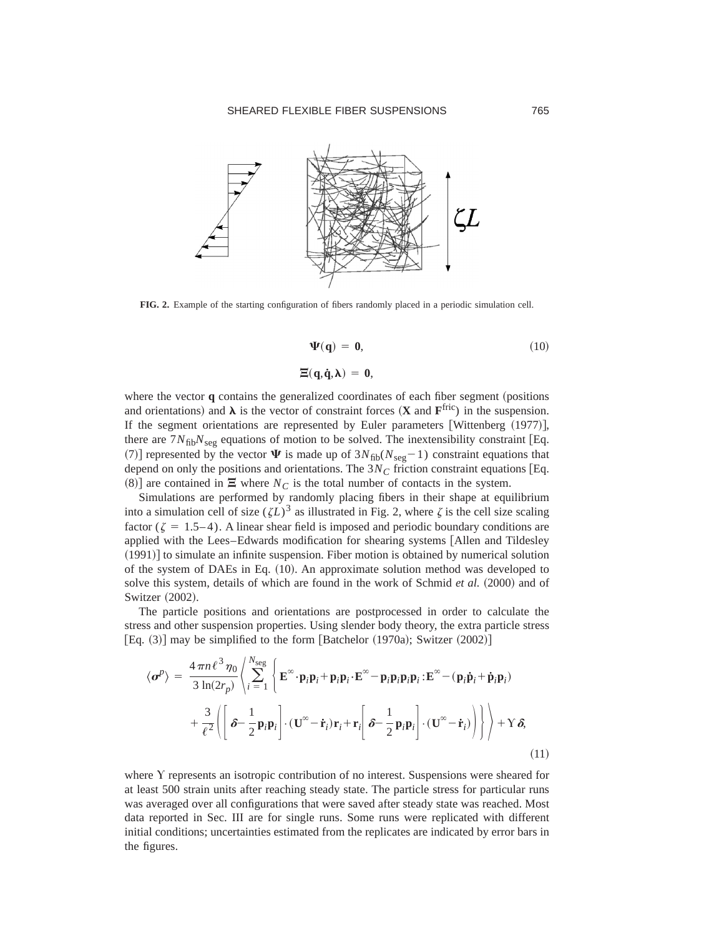

**FIG. 2.** Example of the starting configuration of fibers randomly placed in a periodic simulation cell.

$$
\Psi(\mathbf{q}) = \mathbf{0},\tag{10}
$$

$$
\Xi(\mathbf{q},\dot{\mathbf{q}},\lambda) = 0,
$$

where the vector **q** contains the generalized coordinates of each fiber segment (positions and orientations) and  $\lambda$  is the vector of constraint forces (**X** and  $\mathbf{F}^{\text{fric}}$ ) in the suspension. If the segment orientations are represented by Euler parameters [Wittenberg  $(1977)$ ], there are  $7N_{\text{fib}}N_{\text{seg}}$  equations of motion to be solved. The inextensibility constraint [Eq. (7)] represented by the vector  $\Psi$  is made up of  $3N_{\text{fib}}(N_{\text{seg}}-1)$  constraint equations that depend on only the positions and orientations. The  $3N<sub>C</sub>$  friction constraint equations [Eq.  $(8)$ ] are contained in  $\Xi$  where  $N_C$  is the total number of contacts in the system.

Simulations are performed by randomly placing fibers in their shape at equilibrium into a simulation cell of size  $(\zeta L)^3$  as illustrated in Fig. 2, where  $\zeta$  is the cell size scaling factor ( $\zeta = 1.5-4$ ). A linear shear field is imposed and periodic boundary conditions are applied with the Lees–Edwards modification for shearing systems [Allen and Tildesley  $(1991)$  to simulate an infinite suspension. Fiber motion is obtained by numerical solution of the system of DAEs in Eq.  $(10)$ . An approximate solution method was developed to solve this system, details of which are found in the work of Schmid *et al.* (2000) and of Switzer (2002).

The particle positions and orientations are postprocessed in order to calculate the stress and other suspension properties. Using slender body theory, the extra particle stress [Eq.  $(3)$ ] may be simplified to the form [Batchelor  $(1970a)$ ; Switzer  $(2002)$ ]

$$
\langle \boldsymbol{\sigma}^p \rangle = \frac{4 \pi n \ell^3 \eta_0}{3 \ln(2r_p)} \left\langle \sum_{i=1}^{N_{\text{seg}}} \left\{ \mathbf{E}^{\infty} \cdot \mathbf{p}_i \mathbf{p}_i + \mathbf{p}_i \mathbf{p}_i \cdot \mathbf{E}^{\infty} - \mathbf{p}_i \mathbf{p}_i \mathbf{p}_i \cdot \mathbf{E}^{\infty} - (\mathbf{p}_i \dot{\mathbf{p}}_i + \dot{\mathbf{p}}_i \mathbf{p}_i) \right. \right. \\ \left. + \frac{3}{\ell^2} \left\langle \left[ \boldsymbol{\delta} - \frac{1}{2} \mathbf{p}_i \mathbf{p}_i \right] \cdot (\mathbf{U}^{\infty} - \dot{\mathbf{r}}_i) \mathbf{r}_i + \mathbf{r}_i \left[ \boldsymbol{\delta} - \frac{1}{2} \mathbf{p}_i \mathbf{p}_i \right] \cdot (\mathbf{U}^{\infty} - \dot{\mathbf{r}}_i) \right] \right\rangle + Y \delta,
$$
\n(11)

where Y represents an isotropic contribution of no interest. Suspensions were sheared for at least 500 strain units after reaching steady state. The particle stress for particular runs was averaged over all configurations that were saved after steady state was reached. Most data reported in Sec. III are for single runs. Some runs were replicated with different initial conditions; uncertainties estimated from the replicates are indicated by error bars in the figures.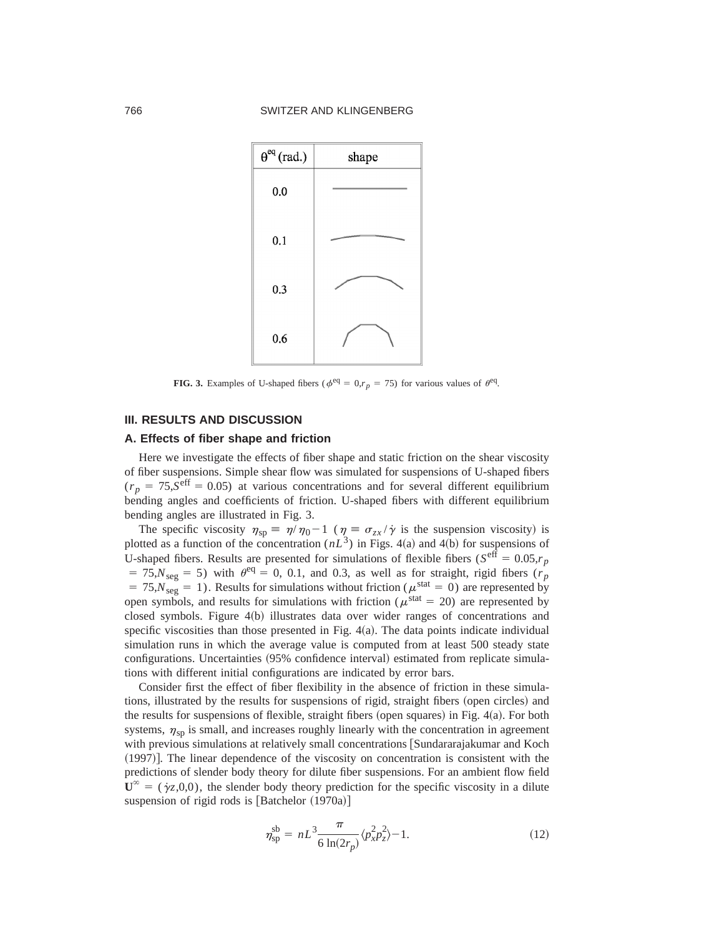

**FIG. 3.** Examples of U-shaped fibers ( $\phi^{\text{eq}} = 0, r_p = 75$ ) for various values of  $\theta^{\text{eq}}$ .

## **III. RESULTS AND DISCUSSION**

#### **A. Effects of fiber shape and friction**

Here we investigate the effects of fiber shape and static friction on the shear viscosity of fiber suspensions. Simple shear flow was simulated for suspensions of U-shaped fibers  $(r_p = 75.5$ <sup>eff</sup> = 0.05) at various concentrations and for several different equilibrium bending angles and coefficients of friction. U-shaped fibers with different equilibrium bending angles are illustrated in Fig. 3.

The specific viscosity  $\eta_{sp} \equiv \eta/\eta_0 - 1$  ( $\eta \equiv \sigma_{zx}/\dot{\gamma}$  is the suspension viscosity) is plotted as a function of the concentration  $(nL^3)$  in Figs. 4(a) and 4(b) for suspensions of U-shaped fibers. Results are presented for simulations of flexible fibers ( $S^{\text{eff}} = 0.05, r_p$ )  $= 75$ , $N<sub>seg</sub> = 5$ ) with  $\theta<sup>eq</sup> = 0, 0.1$ , and 0.3, as well as for straight, rigid fibers ( $r<sub>p</sub>$ )  $= 75$ , $N_{\text{seg}} = 1$ ). Results for simulations without friction ( $\mu^{\text{stat}} = 0$ ) are represented by open symbols, and results for simulations with friction ( $\mu^{\text{stat}} = 20$ ) are represented by closed symbols. Figure  $4(b)$  illustrates data over wider ranges of concentrations and specific viscosities than those presented in Fig.  $4(a)$ . The data points indicate individual simulation runs in which the average value is computed from at least 500 steady state configurations. Uncertainties (95% confidence interval) estimated from replicate simulations with different initial configurations are indicated by error bars.

Consider first the effect of fiber flexibility in the absence of friction in these simulations, illustrated by the results for suspensions of rigid, straight fibers (open circles) and the results for suspensions of flexible, straight fibers (open squares) in Fig.  $4(a)$ . For both systems,  $\eta_{\rm sn}$  is small, and increases roughly linearly with the concentration in agreement with previous simulations at relatively small concentrations [Sundararajakumar and Koch  $(1997)$ . The linear dependence of the viscosity on concentration is consistent with the predictions of slender body theory for dilute fiber suspensions. For an ambient flow field  $\mathbf{U}^{\infty} = (\dot{\gamma}_z,0,0)$ , the slender body theory prediction for the specific viscosity in a dilute suspension of rigid rods is  $[Batchelor (1970a)]$ 

$$
\eta_{\rm sp}^{\rm sb} = nL^3 \frac{\pi}{6 \ln(2r_p)} \langle p_x^2 p_z^2 \rangle - 1. \tag{12}
$$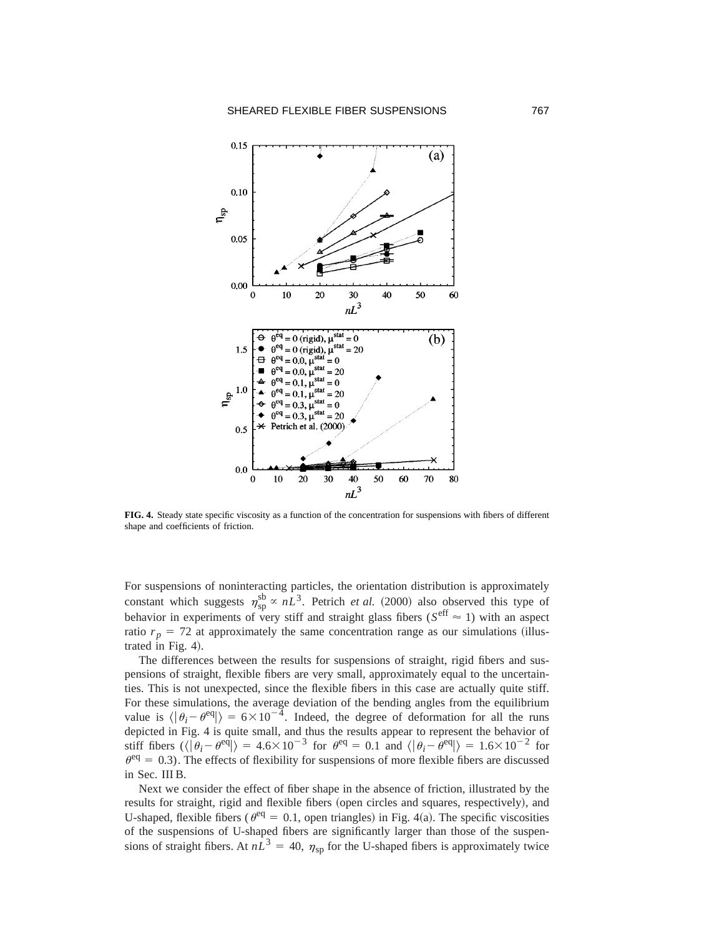

**FIG. 4.** Steady state specific viscosity as a function of the concentration for suspensions with fibers of different shape and coefficients of friction.

For suspensions of noninteracting particles, the orientation distribution is approximately constant which suggests  $\eta_{sp}^{sb} \propto nL^3$ . Petrich *et al.* (2000) also observed this type of behavior in experiments of very stiff and straight glass fibers ( $S^{\text{eff}} \approx 1$ ) with an aspect ratio  $r_p = 72$  at approximately the same concentration range as our simulations (illustrated in Fig.  $4$ ).

The differences between the results for suspensions of straight, rigid fibers and suspensions of straight, flexible fibers are very small, approximately equal to the uncertainties. This is not unexpected, since the flexible fibers in this case are actually quite stiff. For these simulations, the average deviation of the bending angles from the equilibrium value is  $\langle \theta_i - \theta^{\text{eq}} \rangle = 6 \times 10^{-4}$ . Indeed, the degree of deformation for all the runs depicted in Fig. 4 is quite small, and thus the results appear to represent the behavior of stiff fibers  $(\langle \vec{\theta}_i - \theta^{\text{eq}} \rangle = 4.6 \times 10^{-3}$  for  $\theta^{\text{eq}} = 0.1$  and  $\langle \vec{\theta}_i - \theta^{\text{eq}} \rangle = 1.6 \times 10^{-2}$  for  $\theta^{\text{eq}} = 0.3$ ). The effects of flexibility for suspensions of more flexible fibers are discussed in Sec. III B.

Next we consider the effect of fiber shape in the absence of friction, illustrated by the results for straight, rigid and flexible fibers (open circles and squares, respectively), and U-shaped, flexible fibers ( $\theta^{\text{eq}} = 0.1$ , open triangles) in Fig. 4(a). The specific viscosities of the suspensions of U-shaped fibers are significantly larger than those of the suspensions of straight fibers. At  $nL^3 = 40$ ,  $\eta_{sp}$  for the U-shaped fibers is approximately twice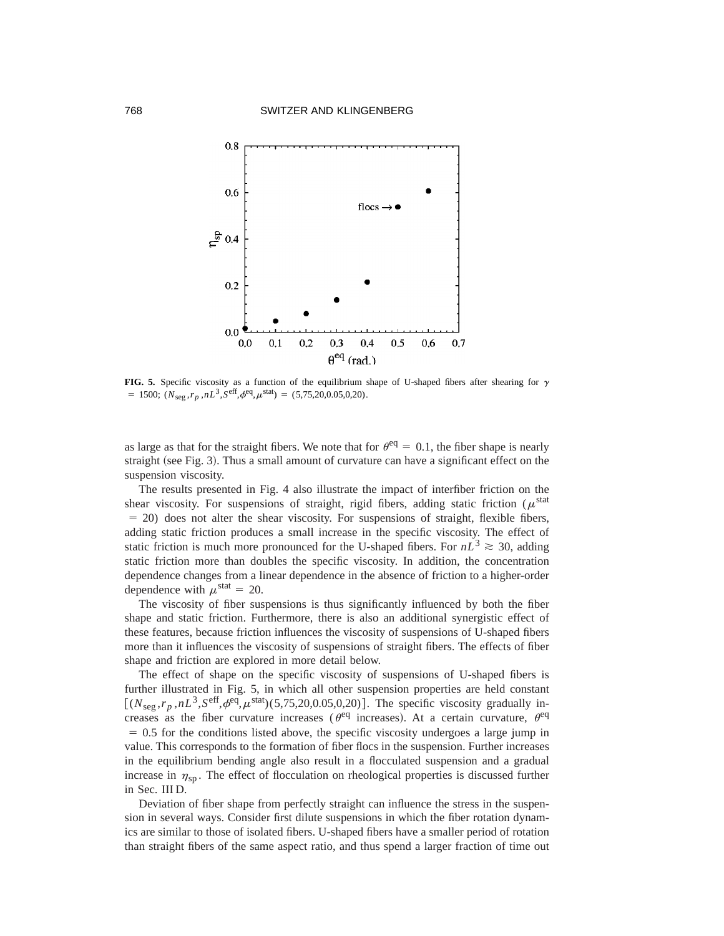

**FIG. 5.** Specific viscosity as a function of the equilibrium shape of U-shaped fibers after shearing for  $\gamma$  $= 1500; (N_{\text{seg}}, r_p, nL^3, S^{\text{eff}}, \phi^{\text{eq}}, \mu^{\text{stat}}) = (5,75,20,0.05,0,20).$ 

as large as that for the straight fibers. We note that for  $\theta^{\text{eq}} = 0.1$ , the fiber shape is nearly straight (see Fig. 3). Thus a small amount of curvature can have a significant effect on the suspension viscosity.

The results presented in Fig. 4 also illustrate the impact of interfiber friction on the shear viscosity. For suspensions of straight, rigid fibers, adding static friction ( $\mu^{\text{stat}}$ )  $= 20$ ) does not alter the shear viscosity. For suspensions of straight, flexible fibers, adding static friction produces a small increase in the specific viscosity. The effect of static friction is much more pronounced for the U-shaped fibers. For  $nL^3 \geq 30$ , adding static friction more than doubles the specific viscosity. In addition, the concentration dependence changes from a linear dependence in the absence of friction to a higher-order dependence with  $\mu^{\text{stat}} = 20$ .

The viscosity of fiber suspensions is thus significantly influenced by both the fiber shape and static friction. Furthermore, there is also an additional synergistic effect of these features, because friction influences the viscosity of suspensions of U-shaped fibers more than it influences the viscosity of suspensions of straight fibers. The effects of fiber shape and friction are explored in more detail below.

The effect of shape on the specific viscosity of suspensions of U-shaped fibers is further illustrated in Fig. 5, in which all other suspension properties are held constant  $[(N_{\text{see}},r_p,nL^3,S^{\text{eff}},\phi^{\text{eq}},\mu^{\text{stat}})(5,75,20,0.05,0,20)].$  The specific viscosity gradually increases as the fiber curvature increases ( $\theta^{\text{eq}}$  increases). At a certain curvature,  $\theta^{\text{eq}}$  $= 0.5$  for the conditions listed above, the specific viscosity undergoes a large jump in value. This corresponds to the formation of fiber flocs in the suspension. Further increases in the equilibrium bending angle also result in a flocculated suspension and a gradual increase in  $\eta_{\rm sn}$ . The effect of flocculation on rheological properties is discussed further in Sec. III D.

Deviation of fiber shape from perfectly straight can influence the stress in the suspension in several ways. Consider first dilute suspensions in which the fiber rotation dynamics are similar to those of isolated fibers. U-shaped fibers have a smaller period of rotation than straight fibers of the same aspect ratio, and thus spend a larger fraction of time out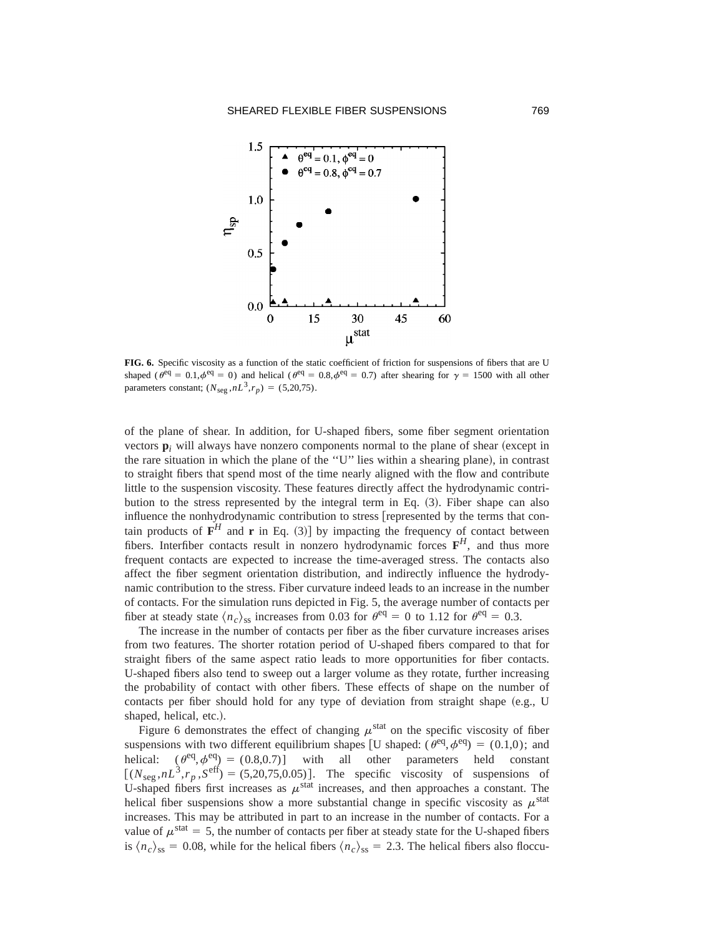

**FIG. 6.** Specific viscosity as a function of the static coefficient of friction for suspensions of fibers that are U shaped ( $\theta^{\text{eq}} = 0.1, \phi^{\text{eq}} = 0$ ) and helical ( $\theta^{\text{eq}} = 0.8, \phi^{\text{eq}} = 0.7$ ) after shearing for  $\gamma = 1500$  with all other parameters constant;  $(N_{\text{seg}}, nL^3, r_p) = (5,20,75)$ .

of the plane of shear. In addition, for U-shaped fibers, some fiber segment orientation vectors  $\mathbf{p}_i$  will always have nonzero components normal to the plane of shear (except in the rare situation in which the plane of the "U" lies within a shearing plane), in contrast to straight fibers that spend most of the time nearly aligned with the flow and contribute little to the suspension viscosity. These features directly affect the hydrodynamic contribution to the stress represented by the integral term in Eq.  $(3)$ . Fiber shape can also influence the nonhydrodynamic contribution to stress [represented by the terms that contain products of  $F^H$  and **r** in Eq. (3)] by impacting the frequency of contact between fibers. Interfiber contacts result in nonzero hydrodynamic forces  $\mathbf{F}^H$ , and thus more frequent contacts are expected to increase the time-averaged stress. The contacts also affect the fiber segment orientation distribution, and indirectly influence the hydrodynamic contribution to the stress. Fiber curvature indeed leads to an increase in the number of contacts. For the simulation runs depicted in Fig. 5, the average number of contacts per fiber at steady state  $\langle n_c \rangle_{ss}$  increases from 0.03 for  $\theta^{\text{eq}} = 0$  to 1.12 for  $\theta^{\text{eq}} = 0.3$ .

The increase in the number of contacts per fiber as the fiber curvature increases arises from two features. The shorter rotation period of U-shaped fibers compared to that for straight fibers of the same aspect ratio leads to more opportunities for fiber contacts. U-shaped fibers also tend to sweep out a larger volume as they rotate, further increasing the probability of contact with other fibers. These effects of shape on the number of contacts per fiber should hold for any type of deviation from straight shape  $(e.g., U)$ shaped, helical, etc.).

Figure 6 demonstrates the effect of changing  $\mu$ <sup>stat</sup> on the specific viscosity of fiber suspensions with two different equilibrium shapes [U shaped:  $(\theta^{\text{eq}}, \phi^{\text{eq}}) = (0.1,0)$ ; and helical:  $(\theta^{eq}, \phi^{eq}) = (0.8, 0.7)$ ] with all other parameters held constant  $[(N_{seg}, nL^3, r_p, S^{\text{eff}}) = (5,20,75,0.05)].$  The specific viscosity of suspensions of U-shaped fibers first increases as  $\mu^{\text{stat}}$  increases, and then approaches a constant. The helical fiber suspensions show a more substantial change in specific viscosity as  $\mu^{\text{stat}}$ increases. This may be attributed in part to an increase in the number of contacts. For a value of  $\mu^{\text{stat}} = 5$ , the number of contacts per fiber at steady state for the U-shaped fibers is  $\langle n_c \rangle_{ss} = 0.08$ , while for the helical fibers  $\langle n_c \rangle_{ss} = 2.3$ . The helical fibers also floccu-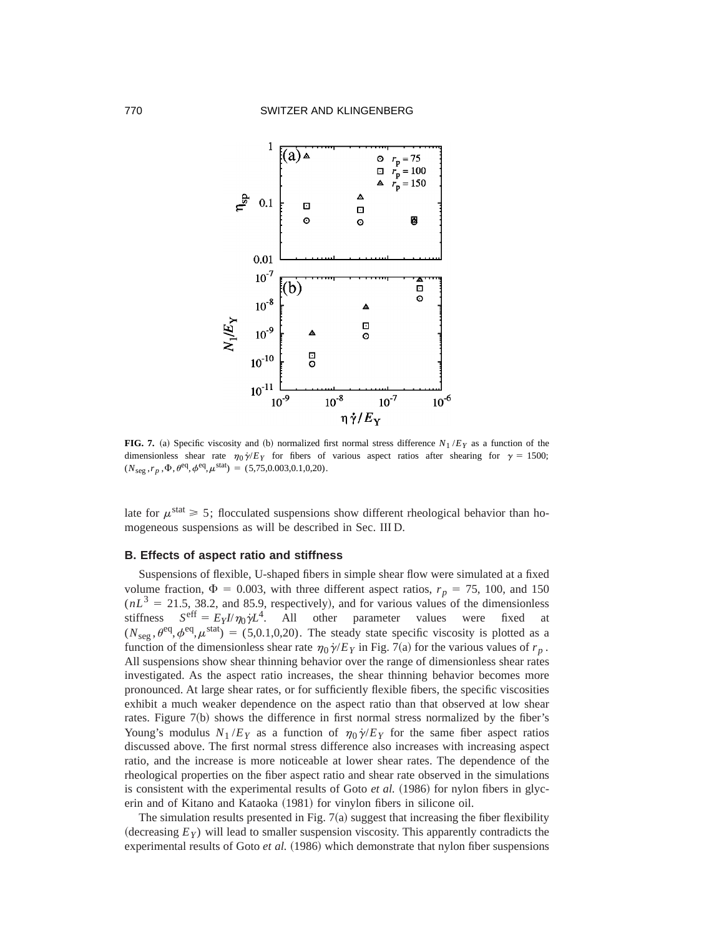

**FIG. 7.** (a) Specific viscosity and (b) normalized first normal stress difference  $N_1 / E_Y$  as a function of the dimensionless shear rate  $\eta_0 \dot{\gamma}/E_Y$  for fibers of various aspect ratios after shearing for  $\gamma = 1500$ ;  $(N_{\text{seg}}, r_p, \Phi, \theta^{\text{eq}}, \phi^{\text{eq}}, \mu^{\text{stat}}) = (5,75,0.003,0.1,0,20).$ 

late for  $\mu^{\text{stat}} \ge 5$ ; flocculated suspensions show different rheological behavior than homogeneous suspensions as will be described in Sec. III D.

## **B. Effects of aspect ratio and stiffness**

Suspensions of flexible, U-shaped fibers in simple shear flow were simulated at a fixed volume fraction,  $\Phi = 0.003$ , with three different aspect ratios,  $r_p = 75$ , 100, and 150  $(nL<sup>3</sup> = 21.5, 38.2,$  and 85.9, respectively), and for various values of the dimensionless stiffness  $S^{\text{eff}} = E_Y I/\eta_0 \dot{\gamma} L^4$ . All other parameter values were fixed at  $(N_{\text{see}},\theta^{\text{eq}},\phi^{\text{eq}},\mu^{\text{stat}}) = (5,0.1,0,20)$ . The steady state specific viscosity is plotted as a function of the dimensionless shear rate  $\eta_0 \dot{\gamma}/E_Y$  in Fig. 7(a) for the various values of  $r_p$ . All suspensions show shear thinning behavior over the range of dimensionless shear rates investigated. As the aspect ratio increases, the shear thinning behavior becomes more pronounced. At large shear rates, or for sufficiently flexible fibers, the specific viscosities exhibit a much weaker dependence on the aspect ratio than that observed at low shear rates. Figure 7(b) shows the difference in first normal stress normalized by the fiber's Young's modulus  $N_1/E_Y$  as a function of  $\eta_0 \dot{\gamma}/E_Y$  for the same fiber aspect ratios discussed above. The first normal stress difference also increases with increasing aspect ratio, and the increase is more noticeable at lower shear rates. The dependence of the rheological properties on the fiber aspect ratio and shear rate observed in the simulations is consistent with the experimental results of Goto *et al.*  $(1986)$  for nylon fibers in glycerin and of Kitano and Kataoka (1981) for vinylon fibers in silicone oil.

The simulation results presented in Fig.  $7(a)$  suggest that increasing the fiber flexibility (decreasing  $E_Y$ ) will lead to smaller suspension viscosity. This apparently contradicts the experimental results of Goto *et al.* (1986) which demonstrate that nylon fiber suspensions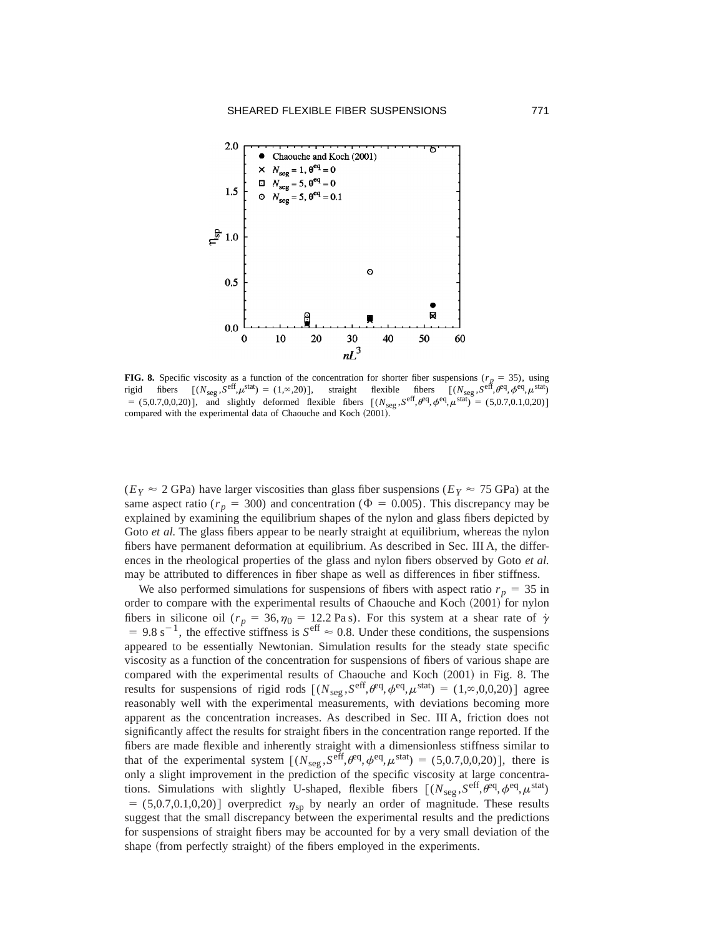

**FIG. 8.** Specific viscosity as a function of the concentration for shorter fiber suspensions ( $r_p = 35$ ), using rigid fibers  $[(N_{\text{seg}}, S^{\text{eff}}, \mu^{\text{stat}}) = (1, \infty, 20)]$ , straight flexible fibers  $[(N_{\text{seg}}, S^{\text{eff}}, \theta^{\text{eq}}, \mu^{\text{stat}})]$  $= (5,0.7,0,0.20)$ ], and slightly deformed flexible fibers  $[(N_{seg},S^{eff},\theta^{eq},\phi^{eq},\mu^{stat}) = (5,0.7,0.1,0.20)]$ compared with the experimental data of Chaouche and Koch (2001).

 $(E_Y \approx 2 \text{ GPa})$  have larger viscosities than glass fiber suspensions  $(E_Y \approx 75 \text{ GPa})$  at the same aspect ratio ( $r_p = 300$ ) and concentration ( $\Phi = 0.005$ ). This discrepancy may be explained by examining the equilibrium shapes of the nylon and glass fibers depicted by Goto *et al*. The glass fibers appear to be nearly straight at equilibrium, whereas the nylon fibers have permanent deformation at equilibrium. As described in Sec. III A, the differences in the rheological properties of the glass and nylon fibers observed by Goto *et al.* may be attributed to differences in fiber shape as well as differences in fiber stiffness.

We also performed simulations for suspensions of fibers with aspect ratio  $r_p = 35$  in order to compare with the experimental results of Chaouche and Koch (2001) for nylon fibers in silicone oil ( $r_p = 36, \eta_0 = 12.2$  Pas). For this system at a shear rate of  $\dot{\gamma}$  $= 9.8 \text{ s}^{-1}$ , the effective stiffness is  $S^{\text{eff}} \approx 0.8$ . Under these conditions, the suspensions appeared to be essentially Newtonian. Simulation results for the steady state specific viscosity as a function of the concentration for suspensions of fibers of various shape are compared with the experimental results of Chaouche and Koch (2001) in Fig. 8. The results for suspensions of rigid rods  $[(N_{seg},S^{eff},\theta^{eq},\phi^{eq},\mu^{stat}) = (1,\infty,0,0,20)]$  agree reasonably well with the experimental measurements, with deviations becoming more apparent as the concentration increases. As described in Sec. III A, friction does not significantly affect the results for straight fibers in the concentration range reported. If the fibers are made flexible and inherently straight with a dimensionless stiffness similar to that of the experimental system  $[(N_{\text{seg}},S^{\text{eff}},\theta^{\text{eq}},\phi^{\text{eq}},\mu^{\text{stat}}) = (5,0.7,0,0,20)]$ , there is only a slight improvement in the prediction of the specific viscosity at large concentrations. Simulations with slightly U-shaped, flexible fibers  $[(N_{seg},S^{eff},\theta^{eq},\phi^{eq},\mu^{stat})$  $=$  (5,0.7,0.1,0,20)] overpredict  $\eta_{sp}$  by nearly an order of magnitude. These results suggest that the small discrepancy between the experimental results and the predictions for suspensions of straight fibers may be accounted for by a very small deviation of the shape (from perfectly straight) of the fibers employed in the experiments.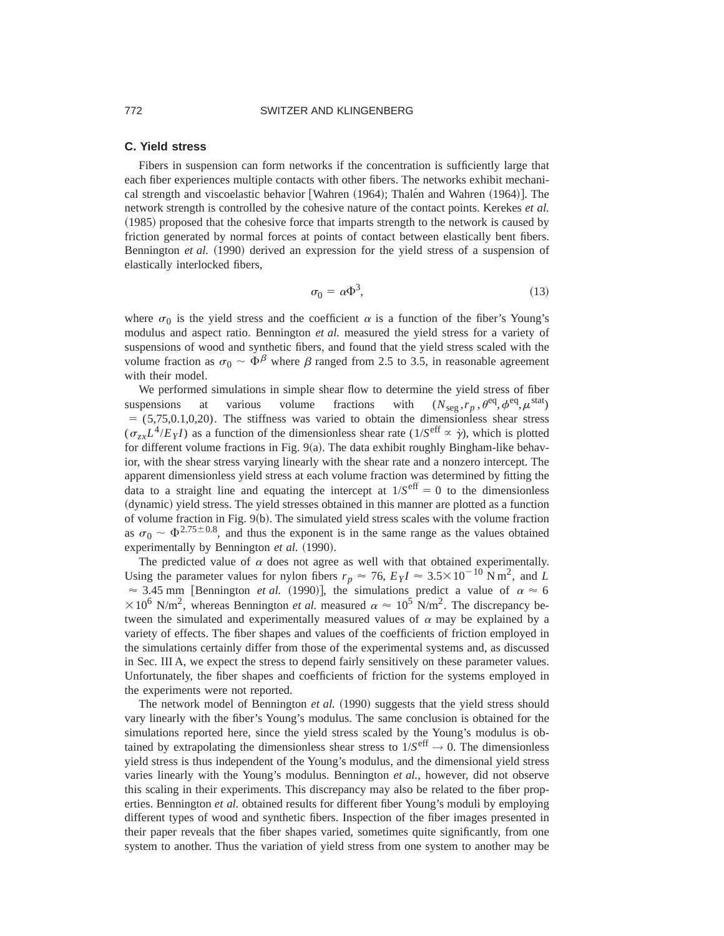## **C. Yield stress**

Fibers in suspension can form networks if the concentration is sufficiently large that each fiber experiences multiple contacts with other fibers. The networks exhibit mechanical strength and viscoelastic behavior [Wahren  $(1964)$ ; Thalén and Wahren  $(1964)$ ]. The network strength is controlled by the cohesive nature of the contact points. Kerekes *et al.* ~1985! proposed that the cohesive force that imparts strength to the network is caused by friction generated by normal forces at points of contact between elastically bent fibers. Bennington *et al.* (1990) derived an expression for the yield stress of a suspension of elastically interlocked fibers,

$$
\sigma_0 = \alpha \Phi^3,\tag{13}
$$

where  $\sigma_0$  is the yield stress and the coefficient  $\alpha$  is a function of the fiber's Young's modulus and aspect ratio. Bennington *et al.* measured the yield stress for a variety of suspensions of wood and synthetic fibers, and found that the yield stress scaled with the volume fraction as  $\sigma_0 \sim \Phi^{\beta}$  where  $\beta$  ranged from 2.5 to 3.5, in reasonable agreement with their model.

We performed simulations in simple shear flow to determine the yield stress of fiber suspensions at various volume fractions with  $(N_{\text{seg}}, r_p, \theta^{\text{eq}}, \phi^{\text{eq}}, \mu^{\text{stat}})$  $=$  (5,75,0.1,0,20). The stiffness was varied to obtain the dimensionless shear stress  $(\sigma_{zx}L^4/E_YI)$  as a function of the dimensionless shear rate (1/*S*eff  $\propto \dot{\gamma}$ ), which is plotted for different volume fractions in Fig.  $9(a)$ . The data exhibit roughly Bingham-like behavior, with the shear stress varying linearly with the shear rate and a nonzero intercept. The apparent dimensionless yield stress at each volume fraction was determined by fitting the data to a straight line and equating the intercept at  $1/S<sup>eff</sup> = 0$  to the dimensionless ~dynamic! yield stress. The yield stresses obtained in this manner are plotted as a function of volume fraction in Fig.  $9(b)$ . The simulated yield stress scales with the volume fraction as  $\sigma_0 \sim \Phi^{2.75\pm0.8}$ , and thus the exponent is in the same range as the values obtained experimentally by Bennington *et al.* (1990).

The predicted value of  $\alpha$  does not agree as well with that obtained experimentally. Using the parameter values for nylon fibers  $r_p \approx 76$ ,  $E_Y I \approx 3.5 \times 10^{-10}$  N m<sup>2</sup>, and *L*  $\approx$  3.45 mm [Bennington *et al.* (1990)], the simulations predict a value of  $\alpha \approx 6$  $\times 10^6$  N/m<sup>2</sup>, whereas Bennington *et al.* measured  $\alpha \approx 10^5$  N/m<sup>2</sup>. The discrepancy between the simulated and experimentally measured values of  $\alpha$  may be explained by a variety of effects. The fiber shapes and values of the coefficients of friction employed in the simulations certainly differ from those of the experimental systems and, as discussed in Sec. III A, we expect the stress to depend fairly sensitively on these parameter values. Unfortunately, the fiber shapes and coefficients of friction for the systems employed in the experiments were not reported.

The network model of Bennington *et al.* (1990) suggests that the yield stress should vary linearly with the fiber's Young's modulus. The same conclusion is obtained for the simulations reported here, since the yield stress scaled by the Young's modulus is obtained by extrapolating the dimensionless shear stress to  $1/S<sup>eff</sup> \rightarrow 0$ . The dimensionless yield stress is thus independent of the Young's modulus, and the dimensional yield stress varies linearly with the Young's modulus. Bennington *et al.*, however, did not observe this scaling in their experiments. This discrepancy may also be related to the fiber properties. Bennington *et al.* obtained results for different fiber Young's moduli by employing different types of wood and synthetic fibers. Inspection of the fiber images presented in their paper reveals that the fiber shapes varied, sometimes quite significantly, from one system to another. Thus the variation of yield stress from one system to another may be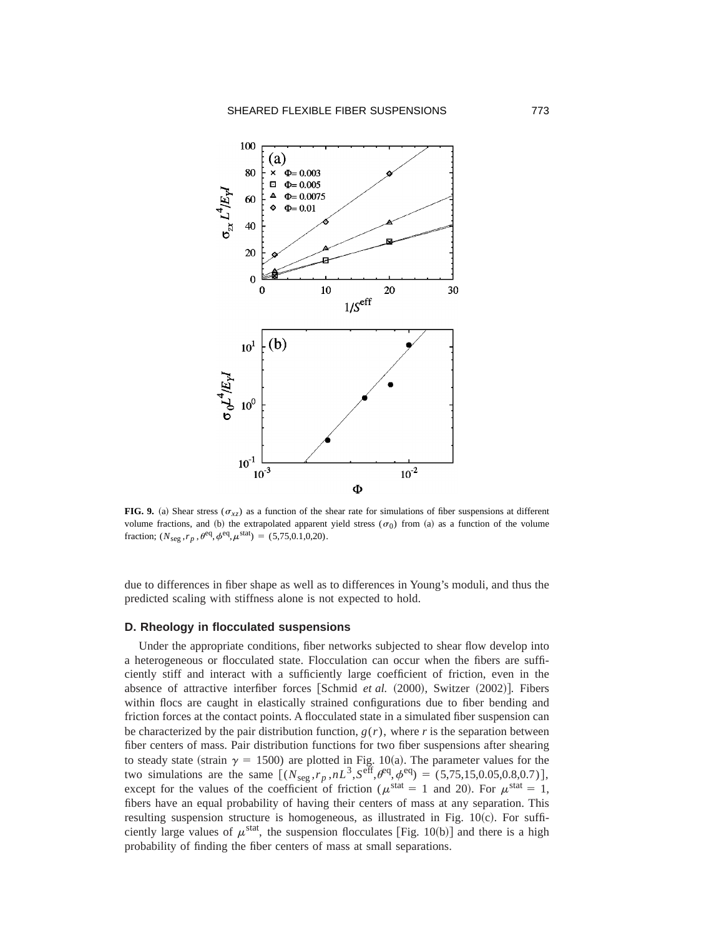

**FIG. 9.** (a) Shear stress ( $\sigma_{xz}$ ) as a function of the shear rate for simulations of fiber suspensions at different volume fractions, and (b) the extrapolated apparent yield stress ( $\sigma_0$ ) from (a) as a function of the volume fraction;  $(N_{\text{seg}}, r_p, \theta^{\text{eq}}, \phi^{\text{eq}}, \mu^{\text{stat}}) = (5,75,0.1,0,20).$ 

due to differences in fiber shape as well as to differences in Young's moduli, and thus the predicted scaling with stiffness alone is not expected to hold.

#### **D. Rheology in flocculated suspensions**

Under the appropriate conditions, fiber networks subjected to shear flow develop into a heterogeneous or flocculated state. Flocculation can occur when the fibers are sufficiently stiff and interact with a sufficiently large coefficient of friction, even in the absence of attractive interfiber forces [Schmid *et al.* (2000), Switzer (2002)]. Fibers within flocs are caught in elastically strained configurations due to fiber bending and friction forces at the contact points. A flocculated state in a simulated fiber suspension can be characterized by the pair distribution function,  $g(r)$ , where r is the separation between fiber centers of mass. Pair distribution functions for two fiber suspensions after shearing to steady state (strain  $\gamma = 1500$ ) are plotted in Fig. 10(a). The parameter values for the two simulations are the same  $[(N_{\text{seg}}, r_p, nL^3, S^{\text{eff}}, \theta^{\text{eq}}, \phi^{\text{eq}}) = (5,75,15,0.05,0.8,0.7)],$ except for the values of the coefficient of friction ( $\mu^{\text{stat}} = 1$  and 20). For  $\mu^{\text{stat}} = 1$ , fibers have an equal probability of having their centers of mass at any separation. This resulting suspension structure is homogeneous, as illustrated in Fig.  $10(c)$ . For sufficiently large values of  $\mu^{\text{stat}}$ , the suspension flocculates [Fig. 10(b)] and there is a high probability of finding the fiber centers of mass at small separations.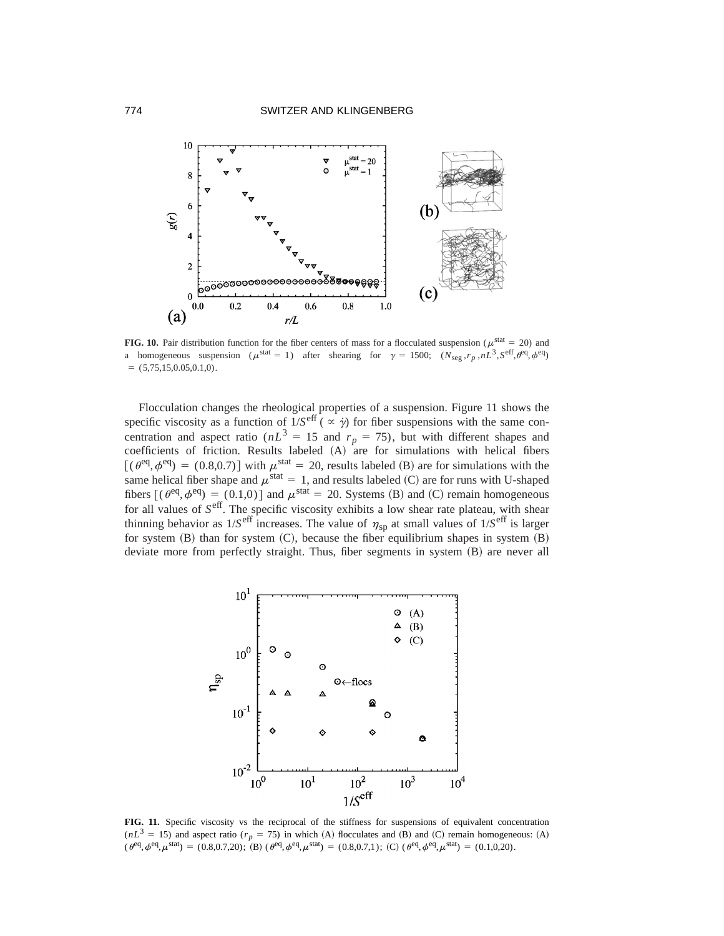

**FIG. 10.** Pair distribution function for the fiber centers of mass for a flocculated suspension ( $\mu$ <sup>stat</sup> = 20) and a homogeneous suspension ( $\mu^{\text{stat}} = 1$ ) after shearing for  $\gamma = 1500$ ; ( $N_{\text{seg}}$ , $r_p$ , $nL^3$ , $S^{\text{eff}}$ , $\theta^{\text{eq}}$ , $\phi^{\text{eq}}$ )  $=$  (5,75,15,0.05,0.1,0).

Flocculation changes the rheological properties of a suspension. Figure 11 shows the specific viscosity as a function of  $1/S<sup>eff</sup>$  ( $\propto \dot{\gamma}$ ) for fiber suspensions with the same concentration and aspect ratio ( $nL^3 = 15$  and  $r_p = 75$ ), but with different shapes and coefficients of friction. Results labeled  $(A)$  are for simulations with helical fibers  $[(\theta^{\text{eq}}, \phi^{\text{eq}}) = (0.8, 0.7)]$  with  $\mu^{\text{stat}} = 20$ , results labeled (B) are for simulations with the same helical fiber shape and  $\mu^{\text{stat}} = 1$ , and results labeled (C) are for runs with U-shaped fibers  $[(\theta^{\text{eq}},\phi^{\text{eq}}) = (0.1,0)]$  and  $\mu^{\text{stat}} = 20$ . Systems (B) and (C) remain homogeneous for all values of *S*eff. The specific viscosity exhibits a low shear rate plateau, with shear thinning behavior as  $1/S^{\text{eff}}$  increases. The value of  $\eta_{sp}$  at small values of  $1/S^{\text{eff}}$  is larger for system  $(B)$  than for system  $(C)$ , because the fiber equilibrium shapes in system  $(B)$ deviate more from perfectly straight. Thus, fiber segments in system (B) are never all



FIG. 11. Specific viscosity vs the reciprocal of the stiffness for suspensions of equivalent concentration  $(nL^3 = 15)$  and aspect ratio ( $r_p = 75$ ) in which (A) flocculates and (B) and (C) remain homogeneous: (A)  $(\theta^{\text{eq}},\phi^{\text{eq}},\mu^{\text{stat}}) = (0.8,0.7,20);$   $(B) (\theta^{\text{eq}},\phi^{\text{eq}},\mu^{\text{stat}}) = (0.8,0.7,1);$  (C)  $(\theta^{\text{eq}},\phi^{\text{eq}},\mu^{\text{stat}}) = (0.1,0,20).$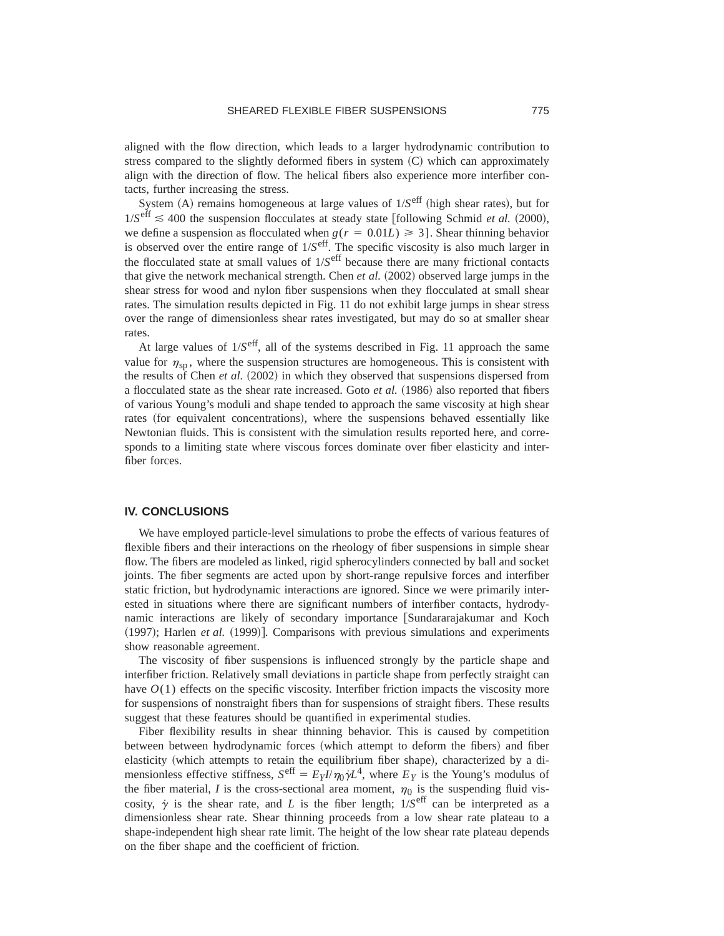aligned with the flow direction, which leads to a larger hydrodynamic contribution to stress compared to the slightly deformed fibers in system  $(C)$  which can approximately align with the direction of flow. The helical fibers also experience more interfiber contacts, further increasing the stress.

System  $(A)$  remains homogeneous at large values of  $1/S<sup>eff</sup>$  (high shear rates), but for  $1/S^{\text{eff}} \leq 400$  the suspension flocculates at steady state [following Schmid *et al.* (2000), we define a suspension as flocculated when  $g(r = 0.01L) \ge 3$ . Shear thinning behavior is observed over the entire range of 1/*S*eff. The specific viscosity is also much larger in the flocculated state at small values of 1/*S*eff because there are many frictional contacts that give the network mechanical strength. Chen  $et$  al.  $(2002)$  observed large jumps in the shear stress for wood and nylon fiber suspensions when they flocculated at small shear rates. The simulation results depicted in Fig. 11 do not exhibit large jumps in shear stress over the range of dimensionless shear rates investigated, but may do so at smaller shear rates.

At large values of  $1/S^{\text{eff}}$ , all of the systems described in Fig. 11 approach the same value for  $\eta_{\rm sn}$ , where the suspension structures are homogeneous. This is consistent with the results of Chen et al. (2002) in which they observed that suspensions dispersed from a flocculated state as the shear rate increased. Goto *et al.* (1986) also reported that fibers of various Young's moduli and shape tended to approach the same viscosity at high shear rates (for equivalent concentrations), where the suspensions behaved essentially like Newtonian fluids. This is consistent with the simulation results reported here, and corresponds to a limiting state where viscous forces dominate over fiber elasticity and interfiber forces.

#### **IV. CONCLUSIONS**

We have employed particle-level simulations to probe the effects of various features of flexible fibers and their interactions on the rheology of fiber suspensions in simple shear flow. The fibers are modeled as linked, rigid spherocylinders connected by ball and socket joints. The fiber segments are acted upon by short-range repulsive forces and interfiber static friction, but hydrodynamic interactions are ignored. Since we were primarily interested in situations where there are significant numbers of interfiber contacts, hydrodynamic interactions are likely of secondary importance [Sundararajakumar and Koch  $(1997)$ ; Harlen *et al.*  $(1999)$ ]. Comparisons with previous simulations and experiments show reasonable agreement.

The viscosity of fiber suspensions is influenced strongly by the particle shape and interfiber friction. Relatively small deviations in particle shape from perfectly straight can have  $O(1)$  effects on the specific viscosity. Interfiber friction impacts the viscosity more for suspensions of nonstraight fibers than for suspensions of straight fibers. These results suggest that these features should be quantified in experimental studies.

Fiber flexibility results in shear thinning behavior. This is caused by competition between between hydrodynamic forces (which attempt to deform the fibers) and fiber elasticity (which attempts to retain the equilibrium fiber shape), characterized by a dimensionless effective stiffness,  $S^{\text{eff}} = E_Y I/\eta_0 \gamma L^4$ , where  $E_Y$  is the Young's modulus of the fiber material, *I* is the cross-sectional area moment,  $\eta_0$  is the suspending fluid viscosity,  $\dot{\gamma}$  is the shear rate, and *L* is the fiber length;  $1/S<sup>eff</sup>$  can be interpreted as a dimensionless shear rate. Shear thinning proceeds from a low shear rate plateau to a shape-independent high shear rate limit. The height of the low shear rate plateau depends on the fiber shape and the coefficient of friction.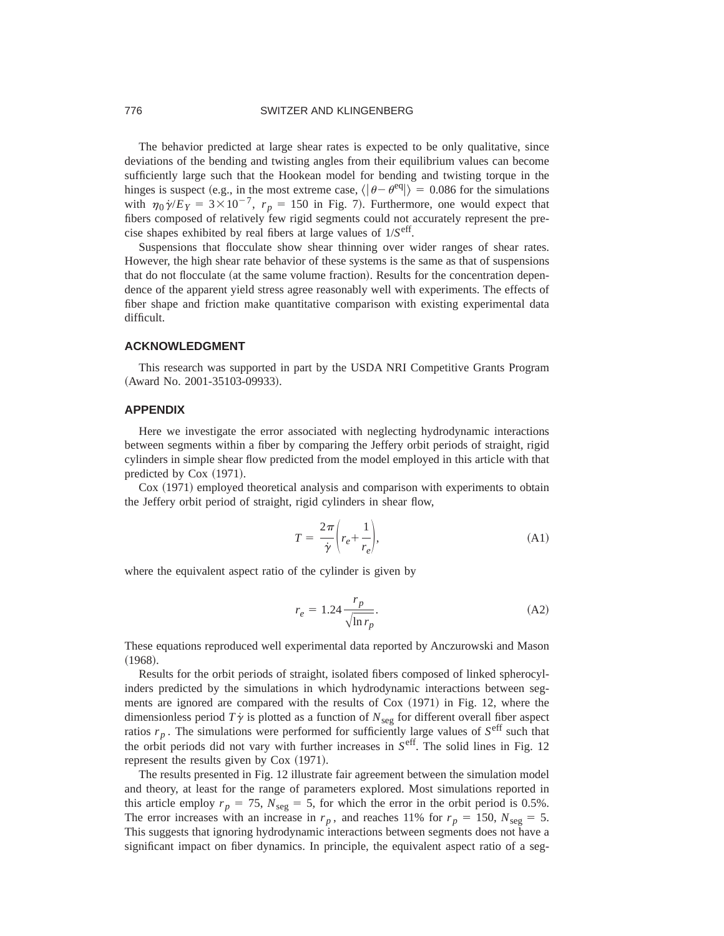## 776 SWITZER AND KLINGENBERG

The behavior predicted at large shear rates is expected to be only qualitative, since deviations of the bending and twisting angles from their equilibrium values can become sufficiently large such that the Hookean model for bending and twisting torque in the hinges is suspect (e.g., in the most extreme case,  $\langle \theta - \theta^{\text{eq}} \rangle = 0.086$  for the simulations with  $\eta_0 \dot{\gamma}/E_Y = 3 \times 10^{-7}$ ,  $r_p = 150$  in Fig. 7). Furthermore, one would expect that fibers composed of relatively few rigid segments could not accurately represent the precise shapes exhibited by real fibers at large values of 1/*S*eff.

Suspensions that flocculate show shear thinning over wider ranges of shear rates. However, the high shear rate behavior of these systems is the same as that of suspensions that do not flocculate (at the same volume fraction). Results for the concentration dependence of the apparent yield stress agree reasonably well with experiments. The effects of fiber shape and friction make quantitative comparison with existing experimental data difficult.

#### **ACKNOWLEDGMENT**

This research was supported in part by the USDA NRI Competitive Grants Program (Award No. 2001-35103-09933).

# **APPENDIX**

Here we investigate the error associated with neglecting hydrodynamic interactions between segments within a fiber by comparing the Jeffery orbit periods of straight, rigid cylinders in simple shear flow predicted from the model employed in this article with that predicted by  $Cox (1971)$ .

Cox (1971) employed theoretical analysis and comparison with experiments to obtain the Jeffery orbit period of straight, rigid cylinders in shear flow,

$$
T = \frac{2\pi}{\dot{\gamma}} \left( r_e + \frac{1}{r_e} \right),\tag{A1}
$$

where the equivalent aspect ratio of the cylinder is given by

$$
r_e = 1.24 \frac{r_p}{\sqrt{\ln r_p}}.\tag{A2}
$$

These equations reproduced well experimental data reported by Anczurowski and Mason  $(1968).$ 

Results for the orbit periods of straight, isolated fibers composed of linked spherocylinders predicted by the simulations in which hydrodynamic interactions between segments are ignored are compared with the results of  $Cox (1971)$  in Fig. 12, where the dimensionless period  $T\dot{\gamma}$  is plotted as a function of  $N_{\text{seg}}$  for different overall fiber aspect ratios  $r_p$ . The simulations were performed for sufficiently large values of  $S<sup>eff</sup>$  such that the orbit periods did not vary with further increases in *S*eff. The solid lines in Fig. 12 represent the results given by  $Cox (1971)$ .

The results presented in Fig. 12 illustrate fair agreement between the simulation model and theory, at least for the range of parameters explored. Most simulations reported in this article employ  $r_p = 75$ ,  $N_{\text{seg}} = 5$ , for which the error in the orbit period is 0.5%. The error increases with an increase in  $r_p$ , and reaches 11% for  $r_p = 150$ ,  $N_{seg} = 5$ . This suggests that ignoring hydrodynamic interactions between segments does not have a significant impact on fiber dynamics. In principle, the equivalent aspect ratio of a seg-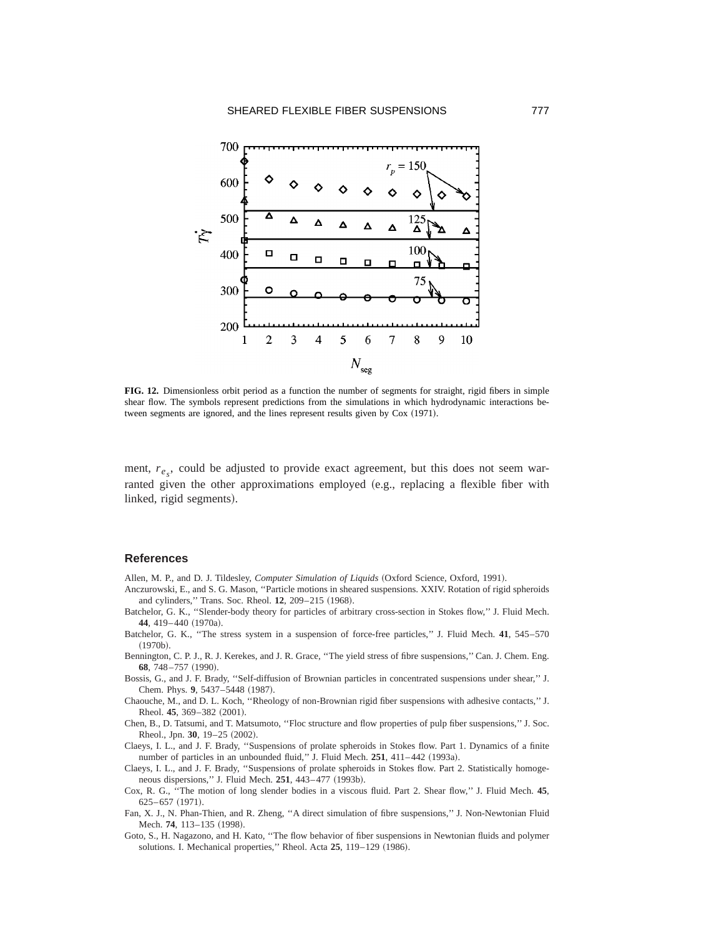

**FIG. 12.** Dimensionless orbit period as a function the number of segments for straight, rigid fibers in simple shear flow. The symbols represent predictions from the simulations in which hydrodynamic interactions between segments are ignored, and the lines represent results given by Cox (1971).

ment,  $r_{e_s}$ , could be adjusted to provide exact agreement, but this does not seem warranted given the other approximations employed  $(e.g.,$  replacing a flexible fiber with linked, rigid segments).

### **References**

- Allen, M. P., and D. J. Tildesley, *Computer Simulation of Liquids* (Oxford Science, Oxford, 1991).
- Anczurowski, E., and S. G. Mason, ''Particle motions in sheared suspensions. XXIV. Rotation of rigid spheroids and cylinders," Trans. Soc. Rheol. 12, 209-215 (1968).
- Batchelor, G. K., ''Slender-body theory for particles of arbitrary cross-section in Stokes flow,'' J. Fluid Mech. 44, 419-440 (1970a).
- Batchelor, G. K., ''The stress system in a suspension of force-free particles,'' J. Fluid Mech. **41**, 545–570  $(1970b).$
- Bennington, C. P. J., R. J. Kerekes, and J. R. Grace, ''The yield stress of fibre suspensions,'' Can. J. Chem. Eng. 68, 748-757 (1990).
- Bossis, G., and J. F. Brady, ''Self-diffusion of Brownian particles in concentrated suspensions under shear,'' J. Chem. Phys. 9, 5437-5448 (1987).
- Chaouche, M., and D. L. Koch, ''Rheology of non-Brownian rigid fiber suspensions with adhesive contacts,'' J. Rheol. 45, 369-382 (2001).
- Chen, B., D. Tatsumi, and T. Matsumoto, ''Floc structure and flow properties of pulp fiber suspensions,'' J. Soc. Rheol., Jpn. 30, 19-25 (2002).
- Claeys, I. L., and J. F. Brady, ''Suspensions of prolate spheroids in Stokes flow. Part 1. Dynamics of a finite number of particles in an unbounded fluid," J. Fluid Mech. 251, 411-442 (1993a).
- Claeys, I. L., and J. F. Brady, ''Suspensions of prolate spheroids in Stokes flow. Part 2. Statistically homogeneous dispersions," J. Fluid Mech. 251, 443-477 (1993b).
- Cox, R. G., ''The motion of long slender bodies in a viscous fluid. Part 2. Shear flow,'' J. Fluid Mech. **45**,  $625-657$   $(1971)$ .
- Fan, X. J., N. Phan-Thien, and R. Zheng, ''A direct simulation of fibre suspensions,'' J. Non-Newtonian Fluid Mech. 74, 113-135 (1998).
- Goto, S., H. Nagazono, and H. Kato, ''The flow behavior of fiber suspensions in Newtonian fluids and polymer solutions. I. Mechanical properties," Rheol. Acta 25, 119-129 (1986).